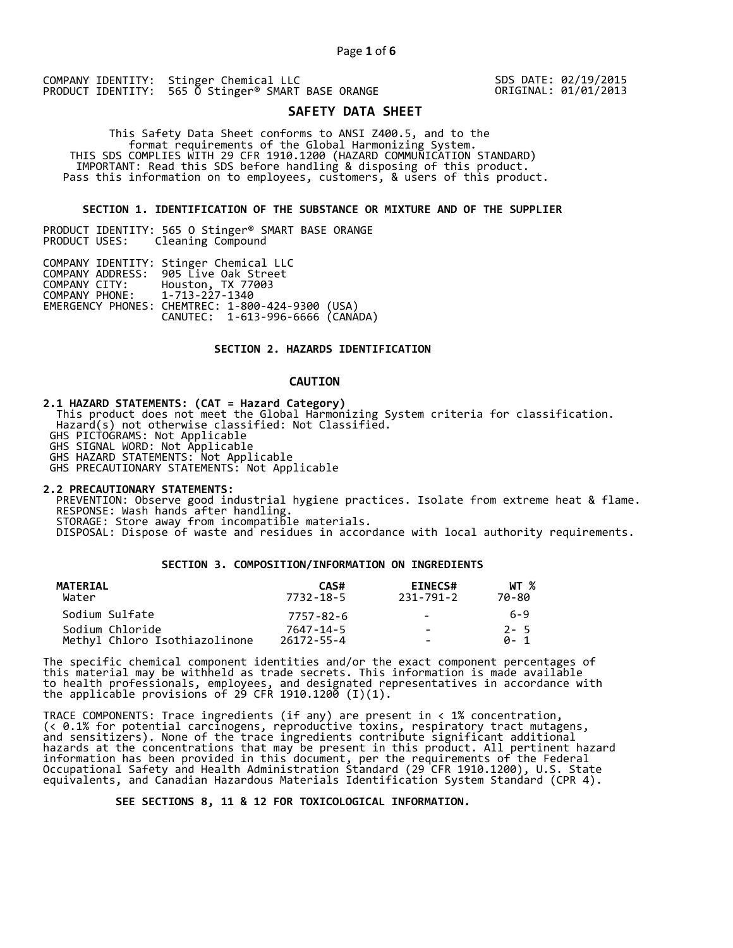COMPANY IDENTITY: Stinger Chemical LLC PRODUCT IDENTITY: 565 0 Stinger<sup>®</sup> SMART BASE ORANGE

SDS DATE: 02/19/2015 ORIGINAL: 01/01/2013

# **SAFETY DATA SHEET**

 This Safety Data Sheet conforms to ANSI Z400.5, and to the format requirements of the Global Harmonizing System. THIS SDS COMPLIES WITH 29 CFR 1910.1200 (HAZARD COMMUNICATION STANDARD) IMPORTANT: Read this SDS before handling & disposing of this product. Pass this information on to employees, customers, & users of this product.

# **SECTION 1. IDENTIFICATION OF THE SUBSTANCE OR MIXTURE AND OF THE SUPPLIER**

PRODUCT IDENTITY: 565 O Stinger® SMART BASE ORANGE Cleaning Compound

|                               | COMPANY IDENTITY: Stinger Chemical LLC           |  |
|-------------------------------|--------------------------------------------------|--|
|                               | COMPANY ADDRESS: 905 Live Oak Street             |  |
|                               | COMPANY CITY: Houston, TX 77003                  |  |
| COMPANY PHONE: 1-713-227-1340 |                                                  |  |
|                               | EMERGENCY PHONES: CHEMTREC: 1-800-424-9300 (USA) |  |
|                               | CANUTEC: 1-613-996-6666 (CANÁDA)                 |  |

# **SECTION 2. HAZARDS IDENTIFICATION**

# **CAUTION**

**2.1 HAZARD STATEMENTS: (CAT = Hazard Category)**

 This product does not meet the Global Harmonizing System criteria for classification. Hazard(s) not otherwise classified: Not Classified.

GHS PICTOGRAMS: Not Applicable

GHS SIGNAL WORD: Not Applicable

GHS HAZARD STATEMENTS: Not Applicable

GHS PRECAUTIONARY STATEMENTS: Not Applicable

**2.2 PRECAUTIONARY STATEMENTS:** 

 PREVENTION: Observe good industrial hygiene practices. Isolate from extreme heat & flame. RESPONSE: Wash hands after handling. STORAGE: Store away from incompatible materials.

DISPOSAL: Dispose of waste and residues in accordance with local authority requirements.

# **SECTION 3. COMPOSITION/INFORMATION ON INGREDIENTS**

| MATERIAL<br>Water             | CAS#<br>7732-18-5 | <b>EINECS#</b><br>231-791-2 | WT %<br>70-80 |
|-------------------------------|-------------------|-----------------------------|---------------|
| Sodium Sulfate                | 7757-82-6         | $\sim$                      | 6-9           |
| Sodium Chloride               | 7647-14-5         | $\sim$                      | $2 - 5$       |
| Methyl Chloro Isothiazolinone | $26172 - 55 - 4$  | -                           | A- 1          |

The specific chemical component identities and/or the exact component percentages of this material may be withheld as trade secrets. This information is made available to health professionals, employees, and designated representatives in accordance with the applicable provisions of 29 CFR 1910.1200̄ (I)(1).  $\overline{\phantom{a}}$ 

TRACE COMPONENTS: Trace ingredients (if any) are present in < 1% concentration, (< 0.1% for potential carcinogens, reproductive toxins, respiratory tract mutagens, and sensitizers). None of the trace ingredients contribute significant additional hazards at the concentrations that may be present in this product. All pertinent hazard information has been provided in this document, per the requirements of the Federal Occupational Safety and Health Administration Standard (29 CFR 1910.1200), U.S. State equivalents, and Canadian Hazardous Materials Identification System Standard (CPR 4).

 **SEE SECTIONS 8, 11 & 12 FOR TOXICOLOGICAL INFORMATION.**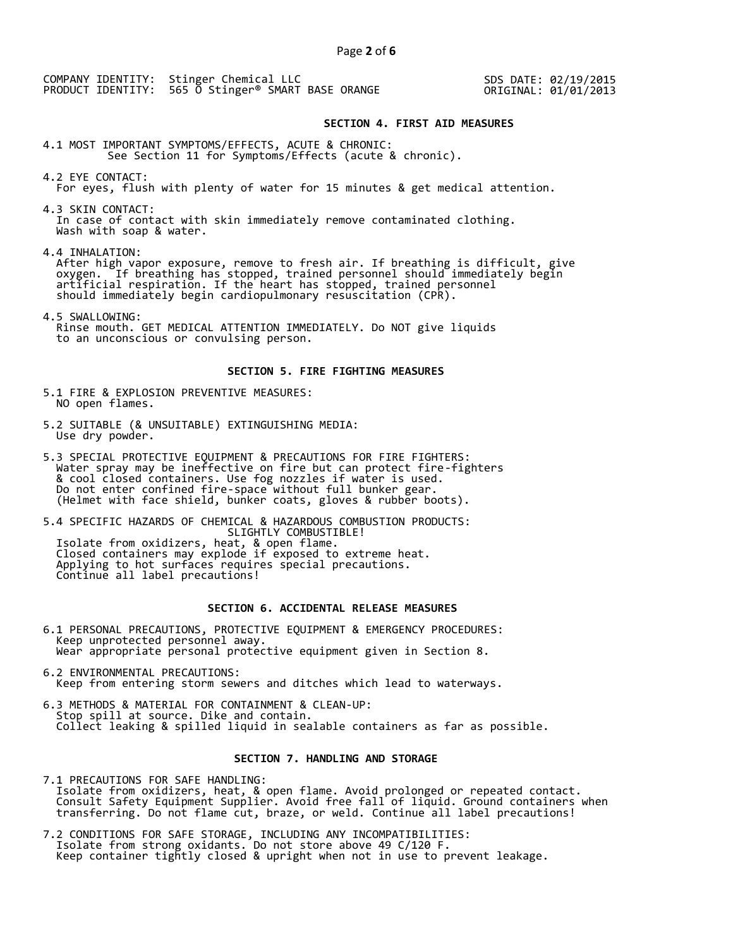COMPANY IDENTITY: Stinger Chemical LLC PRODUCT IDENTITY: 565 O Stinger® SMART BASE ORANGE SDS DATE: 02/19/2015 ORIGINAL: 01/01/2013

# **SECTION 4. FIRST AID MEASURES**

4.1 MOST IMPORTANT SYMPTOMS/EFFECTS, ACUTE & CHRONIC: See Section 11 for Symptoms/Effects (acute & chronic).

4.2 EYE CONTACT: For eyes, flush with plenty of water for 15 minutes & get medical attention.

4.3 SKIN CONTACT: In case of contact with skin immediately remove contaminated clothing. Wash with soap & water.

4.4 INHALATION:

 After high vapor exposure, remove to fresh air. If breathing is difficult, give oxygen. If breathing has stopped, trained personnel should immediately begin artificial respiration. If the heart has stopped, trained personnel should immediately begin cardiopulmonary resuscitation (CPR).

4.5 SWALLOWING: Rinse mouth. GET MEDICAL ATTENTION IMMEDIATELY. Do NOT give liquids to an unconscious or convulsing person.

#### **SECTION 5. FIRE FIGHTING MEASURES**

5.1 FIRE & EXPLOSION PREVENTIVE MEASURES: NO open flames.

- 5.2 SUITABLE (& UNSUITABLE) EXTINGUISHING MEDIA: Use dry powder.
- 5.3 SPECIAL PROTECTIVE EQUIPMENT & PRECAUTIONS FOR FIRE FIGHTERS: Water spray may be ineffective on fire but can protect fire-fighters & cool closed containers. Use fog nozzles if water is used. Do not enter confined fire-space without full bunker gear. (Helmet with face shield, bunker coats, gloves & rubber boots).

5.4 SPECIFIC HAZARDS OF CHEMICAL & HAZARDOUS COMBUSTION PRODUCTS: SLIGHTLY COMBUSTIBLE! Isolate from oxidizers, heat, & open flame. Closed containers may explode if exposed to extreme heat. Applying to hot surfaces requires special precautions. Continue all label precautions!

# **SECTION 6. ACCIDENTAL RELEASE MEASURES**

- 6.1 PERSONAL PRECAUTIONS, PROTECTIVE EQUIPMENT & EMERGENCY PROCEDURES: Keep unprotected personnel away. Wear appropriate personal protective equipment given in Section 8.
- 6.2 ENVIRONMENTAL PRECAUTIONS: Keep from entering storm sewers and ditches which lead to waterways.
- 6.3 METHODS & MATERIAL FOR CONTAINMENT & CLEAN-UP: Stop spill at source. Dike and contain. Collect leaking & spilled liquid in sealable containers as far as possible.

# **SECTION 7. HANDLING AND STORAGE**

7.1 PRECAUTIONS FOR SAFE HANDLING: Isolate from oxidizers, heat, & open flame. Avoid prolonged or repeated contact. Consult Safety Equipment Supplier. Avoid free fall of liquid. Ground containers when transferring. Do not flame cut, braze, or weld. Continue all label precautions!

7.2 CONDITIONS FOR SAFE STORAGE, INCLUDING ANY INCOMPATIBILITIES: Isolate from strong oxidants. Do not store above 49 C/120 F. Keep container tightly closed & upright when not in use to prevent leakage.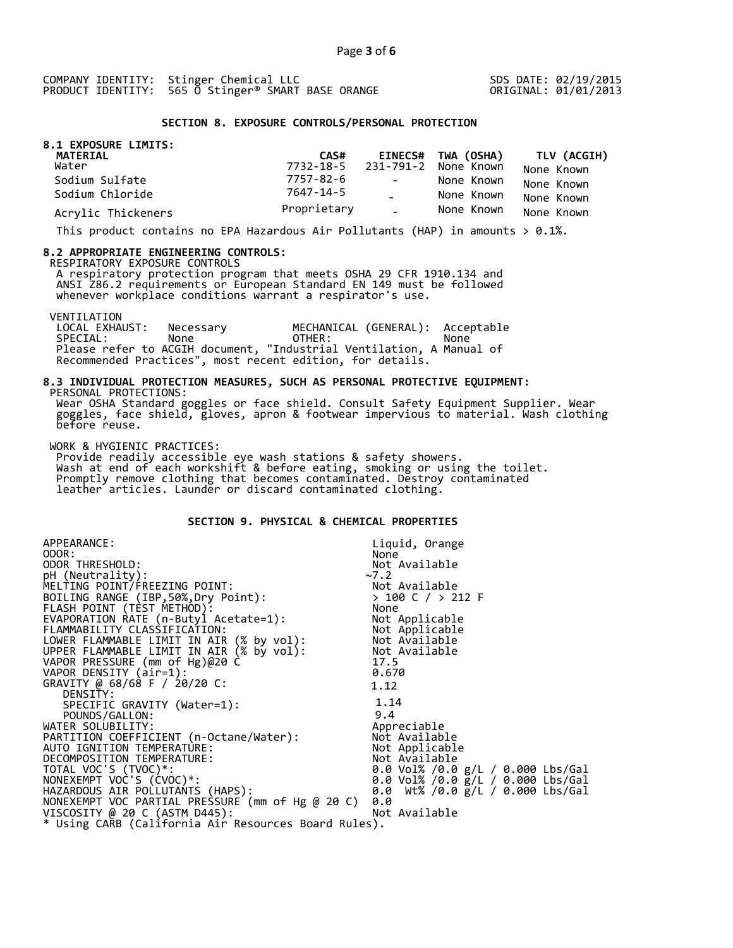SDS DATE: 02/19/2015 ORIGINAL: 01/01/2013

# **SECTION 8. EXPOSURE CONTROLS/PERSONAL PROTECTION**

| 8.1 EXPOSURE LIMITS:<br>MATERIAL | CAS#        |               | EINECS# TWA (OSHA)             | TLV (ACGIH) |
|----------------------------------|-------------|---------------|--------------------------------|-------------|
| Water                            |             |               | 7732-18-5 231-791-2 None Known | None Known  |
| Sodium Sulfate                   | 7757-82-6   | $\sim$        | None Known                     | None Known  |
| Sodium Chloride                  | 7647-14-5   |               | None Known                     | None Known  |
| Acrylic Thickeners               | Proprietary | $\Delta \phi$ | None Known                     | None Known  |

This product contains no EPA Hazardous Air Pollutants (HAP) in amounts  $> 0.1\%$ .

#### **8.2 APPROPRIATE ENGINEERING CONTROLS:**

RESPIRATORY EXPOSURE CONTROLS

 A respiratory protection program that meets OSHA 29 CFR 1910.134 and ANSI Z86.2 requirements or European Standard EN 149 must be followed whenever workplace conditions warrant a respirator's use.

VENTILATION<br>LOCAL EXHAUST: LOCAL EXHAUST: Necessary MECHANICAL (GENERAL): Acceptable SPECIAL: None OTHER: None Please refer to ACGIH document, "Industrial Ventilation, A Manual of Recommended Practices", most recent edition, for details.

#### **8.3 INDIVIDUAL PROTECTION MEASURES, SUCH AS PERSONAL PROTECTIVE EQUIPMENT:**  PERSONAL PROTECTIONS:

 Wear OSHA Standard goggles or face shield. Consult Safety Equipment Supplier. Wear goggles, face shield, gloves, apron & footwear impervious to material. Wash clothing before reuse.

WORK & HYGIENIC PRACTICES:

 Provide readily accessible eye wash stations & safety showers. Wash at end of each workshift & before eating, smoking or using the toilet. Promptly remove clothing that becomes contaminated. Destroy contaminated leather articles. Launder or discard contaminated clothing.

# **SECTION 9. PHYSICAL & CHEMICAL PROPERTIES**

| APPEARANCE:                                                                                                                                      | Liquid, Orange                            |
|--------------------------------------------------------------------------------------------------------------------------------------------------|-------------------------------------------|
| ODOR:                                                                                                                                            | None                                      |
| ODOR THRESHOLD:                                                                                                                                  | Not Available                             |
| pH (Neutrality):                                                                                                                                 | $~2$ .2                                   |
| MELTING POINT/FREEZING POINT:                                                                                                                    |                                           |
| BOILING RANGE (IBP, 50%, Dry Point):                                                                                                             | Not Available<br>> 100 C / > 212 F        |
| FLASH POINT (TÈST METHOD):                                                                                                                       | None                                      |
| EVAPORATION RATE (n-Butyl Acetate=1):                                                                                                            | Not Applicable                            |
| FLAMMABILITY CLASSIFICATION:<br>LOWER FLAMMABLE LIMIT IN AIR (% by vol): Not Available<br>UPPER FLAMMABLE LIMIT IN AIR (% by vol): Not Available |                                           |
|                                                                                                                                                  |                                           |
|                                                                                                                                                  |                                           |
| VAPOR PRESSURE (mm of Hg)@20 C                                                                                                                   | 17.5                                      |
| VAPOR DENSITY (air=1):                                                                                                                           | 0.670                                     |
| GRAVITY @ 68/68 F / 20/20 C:                                                                                                                     | 1.12                                      |
| DENSITY:                                                                                                                                         |                                           |
| SPECIFIC GRAVITY (Water=1):                                                                                                                      | 1.14                                      |
| POUNDS/GALLON:                                                                                                                                   | 9.4                                       |
| WATER SOLUBILITY:                                                                                                                                | Appreciable                               |
| PARTITION COEFFICIENT (n-Octane/Water):                                                                                                          | Not Available                             |
| AUTO IGNITION TEMPERATURE:                                                                                                                       | Not Applicable                            |
| DECOMPOSITION TEMPERATURE:                                                                                                                       | Not Available                             |
| TOTAL VOC'S (TVOC)*:                                                                                                                             | 0.0 Vol% /0.0 g/L / 0.000 Lbs/Gal         |
| NONEXEMPT VOC'S (CVOC)*:                                                                                                                         | 0.0 Vol% /0.0 $\bar{g}/L$ / 0.000 Lbs/Gal |
| HAZARDOUS AIR POLLUTANTS (HAPS):                                                                                                                 | 0.0 Wt% /0.0 g/L / 0.000 Lbs/Gal          |
| NONEXEMPT VOC PARTIAL PRESSURE (mm of Hg @ 20 C)                                                                                                 | 0.0                                       |
| VISCOSITY @ 20 C (ASTM D445):                                                                                                                    | Not Available                             |
| * Using CARB (California Air Resources Board Rules).                                                                                             |                                           |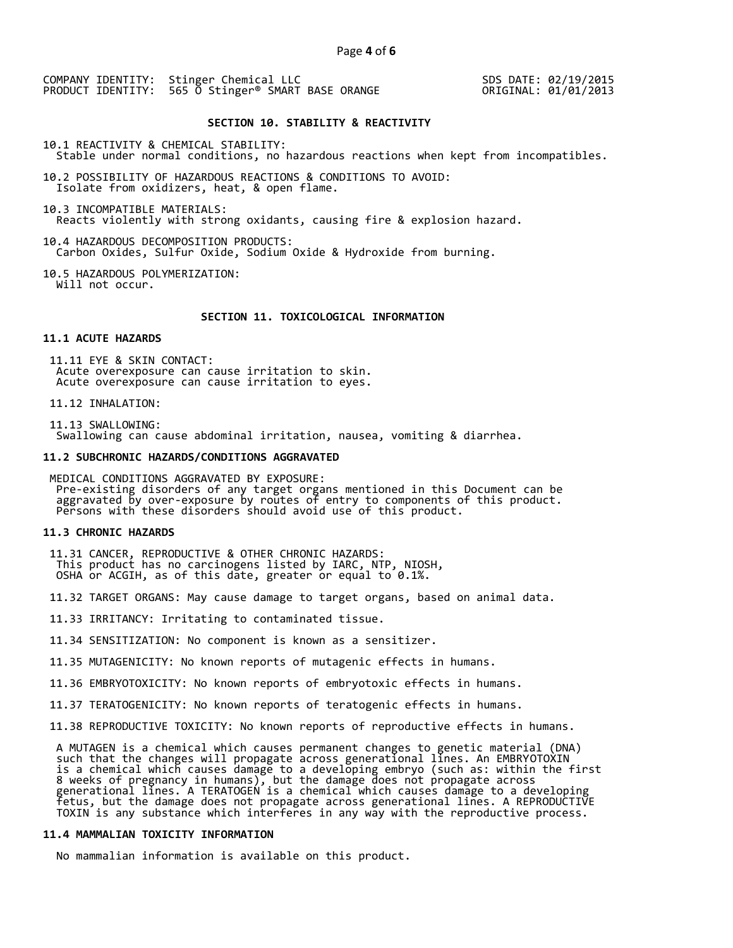COMPANY IDENTITY: Stinger Chemical LLC PRODUCT IDENTITY: 565 O Stinger<sup>®</sup> SMART BASE ORANGE

SDS DATE: 02/19/2015 ORIGINAL: 01/01/2013

#### **SECTION 10. STABILITY & REACTIVITY**

10.1 REACTIVITY & CHEMICAL STABILITY: Stable under normal conditions, no hazardous reactions when kept from incompatibles.

10.2 POSSIBILITY OF HAZARDOUS REACTIONS & CONDITIONS TO AVOID: Isolate from oxidizers, heat, & open flame.

10.3 INCOMPATIBLE MATERIALS: Reacts violently with strong oxidants, causing fire & explosion hazard.

10.4 HAZARDOUS DECOMPOSITION PRODUCTS: Carbon Oxides, Sulfur Oxide, Sodium Oxide & Hydroxide from burning.

10.5 HAZARDOUS POLYMERIZATION: Will not occur.

#### **SECTION 11. TOXICOLOGICAL INFORMATION**

# **11.1 ACUTE HAZARDS**

 11.11 EYE & SKIN CONTACT: Acute overexposure can cause irritation to skin. Acute overexposure can cause irritation to eyes.

11.12 INHALATION:

 11.13 SWALLOWING: Swallowing can cause abdominal irritation, nausea, vomiting & diarrhea.

#### **11.2 SUBCHRONIC HAZARDS/CONDITIONS AGGRAVATED**

 MEDICAL CONDITIONS AGGRAVATED BY EXPOSURE: Pre-existing disorders of any target organs mentioned in this Document can be aggravated by over-exposure by routes of entry to components of this product. Persons with these disorders should avoid use of this product.

#### **11.3 CHRONIC HAZARDS**

 11.31 CANCER, REPRODUCTIVE & OTHER CHRONIC HAZARDS: This product has no carcinogens listed by IARC, NTP, NIOSH, OSHA or ACGIH, as of this date, greater or equal to 0.1%.

11.32 TARGET ORGANS: May cause damage to target organs, based on animal data.

11.33 IRRITANCY: Irritating to contaminated tissue.

11.34 SENSITIZATION: No component is known as a sensitizer.

11.35 MUTAGENICITY: No known reports of mutagenic effects in humans.

11.36 EMBRYOTOXICITY: No known reports of embryotoxic effects in humans.

11.37 TERATOGENICITY: No known reports of teratogenic effects in humans.

11.38 REPRODUCTIVE TOXICITY: No known reports of reproductive effects in humans.

 A MUTAGEN is a chemical which causes permanent changes to genetic material (DNA) such that the changes will propagate across generational lines. An EMBRYOTOXIN is a chemical which causes damage to a developing embryo (such as: within the first 8 weeks of pregnancy in humans), but the damage does not propagate across generational lines. A TERATOGEN is a chemical which causes damage to a developing fetus, but the damage does not propagate across generational lines. A REPRODUCTIVE TOXIN is any substance which interferes in any way with the reproductive process.

# **11.4 MAMMALIAN TOXICITY INFORMATION**

No mammalian information is available on this product.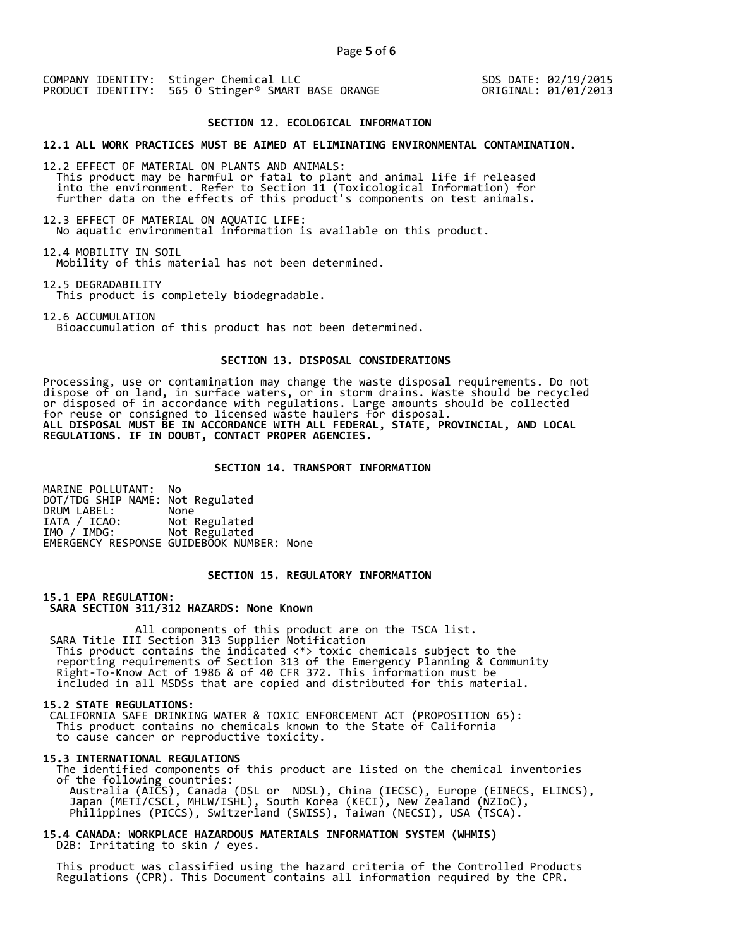COMPANY IDENTITY: Stinger Chemical LLC PRODUCT IDENTITY: 565 O Stinger® SMART BASE ORANGE SDS DATE: 02/19/2015 ORIGINAL: 01/01/2013

# **SECTION 12. ECOLOGICAL INFORMATION**

**12.1 ALL WORK PRACTICES MUST BE AIMED AT ELIMINATING ENVIRONMENTAL CONTAMINATION.** 

12.2 EFFECT OF MATERIAL ON PLANTS AND ANIMALS: This product may be harmful or fatal to plant and animal life if released into the environment. Refer to Section 11 (Toxicological Information) for further data on the effects of this product's components on test animals.

12.3 EFFECT OF MATERIAL ON AQUATIC LIFE: No aquatic environmental information is available on this product.

12.4 MOBILITY IN SOIL Mobility of this material has not been determined.

12.5 DEGRADABILITY This product is completely biodegradable.

12.6 ACCUMULATION Bioaccumulation of this product has not been determined.

#### **SECTION 13. DISPOSAL CONSIDERATIONS**

Processing, use or contamination may change the waste disposal requirements. Do not dispose of on land, in surface waters, or in storm drains. Waste should be recycled or disposed of in accordance with regulations. Large amounts should be collected for reuse or consigned to licensed waste haulers for disposal. **ALL DISPOSAL MUST BE IN ACCORDANCE WITH ALL FEDERAL, STATE, PROVINCIAL, AND LOCAL REGULATIONS. IF IN DOUBT, CONTACT PROPER AGENCIES.** 

## **SECTION 14. TRANSPORT INFORMATION**

MARINE POLLUTANT: No DOT/TDG SHIP NAME: Not Regulated DRUM LABEL:<br>IATA / ICAO: IATA / ICAO: Not Regulated<br>IMO / IMDG: Not Regulated Not Regulated EMERGENCY RESPONSE GUIDEBOOK NUMBER: None

# **SECTION 15. REGULATORY INFORMATION**

**15.1 EPA REGULATION: SARA SECTION 311/312 HAZARDS: None Known** 

All components of this product are on the TSCA list. SARA Title III Section 313 Supplier Notification This product contains the indicated <\*> toxic chemicals subject to the reporting requirements of Section 313 of the Emergency Planning & Community Right-To-Know Act of 1986 & of 40 CFR 372. This information must be included in all MSDSs that are copied and distributed for this material.

#### **15.2 STATE REGULATIONS:**

 CALIFORNIA SAFE DRINKING WATER & TOXIC ENFORCEMENT ACT (PROPOSITION 65): This product contains no chemicals known to the State of California to cause cancer or reproductive toxicity.

#### **15.3 INTERNATIONAL REGULATIONS**

 The identified components of this product are listed on the chemical inventories of the following countries: Australia (AICS), Canada (DSL or NDSL), China (IECSC), Europe (EINECS, ELINCS), Japan (METI/CSCL, MHLW/ISHL), South Korea (KECI), New Zealand (NZIoC), Philippines (PICCS), Switzerland (SWISS), Taiwan (NECSI), USA (TSCA).

**15.4 CANADA: WORKPLACE HAZARDOUS MATERIALS INFORMATION SYSTEM (WHMIS)**  D2B: Irritating to skin / eyes.

 This product was classified using the hazard criteria of the Controlled Products Regulations (CPR). This Document contains all information required by the CPR.